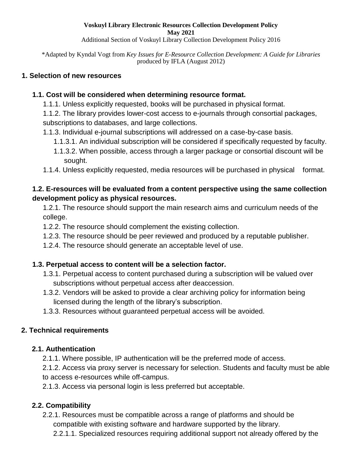#### **Voskuyl Library Electronic Resources Collection Development Policy May 2021**

Additional Section of Voskuyl Library Collection Development Policy 2016

\*Adapted by Kyndal Vogt from *Key Issues for E-Resource Collection Development: A Guide for Libraries*  produced by IFLA (August 2012)

#### **1. Selection of new resources**

#### **1.1. Cost will be considered when determining resource format.**

1.1.1. Unless explicitly requested, books will be purchased in physical format.

1.1.2. The library provides lower-cost access to e-journals through consortial packages, subscriptions to databases, and large collections.

- 1.1.3. Individual e-journal subscriptions will addressed on a case-by-case basis.
	- 1.1.3.1. An individual subscription will be considered if specifically requested by faculty.
	- 1.1.3.2. When possible, access through a larger package or consortial discount will be sought.
- 1.1.4. Unless explicitly requested, media resources will be purchased in physical format.

### **1.2. E-resources will be evaluated from a content perspective using the same collection development policy as physical resources.**

1.2.1. The resource should support the main research aims and curriculum needs of the college.

- 1.2.2. The resource should complement the existing collection.
- 1.2.3. The resource should be peer reviewed and produced by a reputable publisher.
- 1.2.4. The resource should generate an acceptable level of use.

### **1.3. Perpetual access to content will be a selection factor.**

- 1.3.1. Perpetual access to content purchased during a subscription will be valued over subscriptions without perpetual access after deaccession.
- 1.3.2. Vendors will be asked to provide a clear archiving policy for information being licensed during the length of the library's subscription.
- 1.3.3. Resources without guaranteed perpetual access will be avoided.

### **2. Technical requirements**

#### **2.1. Authentication**

2.1.1. Where possible, IP authentication will be the preferred mode of access.

2.1.2. Access via proxy server is necessary for selection. Students and faculty must be able to access e-resources while off-campus.

2.1.3. Access via personal login is less preferred but acceptable.

### **2.2. Compatibility**

2.2.1. Resources must be compatible across a range of platforms and should be compatible with existing software and hardware supported by the library.

2.2.1.1. Specialized resources requiring additional support not already offered by the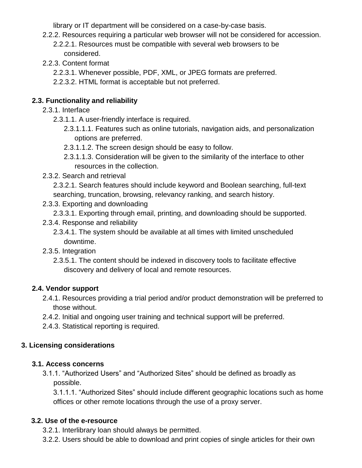library or IT department will be considered on a case-by-case basis.

- 2.2.2. Resources requiring a particular web browser will not be considered for accession.
	- 2.2.2.1. Resources must be compatible with several web browsers to be considered.
- 2.2.3. Content format
	- 2.2.3.1. Whenever possible, PDF, XML, or JPEG formats are preferred.
	- 2.2.3.2. HTML format is acceptable but not preferred.

## **2.3. Functionality and reliability**

- 2.3.1. Interface
	- 2.3.1.1. A user-friendly interface is required.
		- 2.3.1.1.1. Features such as online tutorials, navigation aids, and personalization options are preferred.
		- 2.3.1.1.2. The screen design should be easy to follow.
		- 2.3.1.1.3. Consideration will be given to the similarity of the interface to other resources in the collection.
- 2.3.2. Search and retrieval
	- 2.3.2.1. Search features should include keyword and Boolean searching, full-text searching, truncation, browsing, relevancy ranking, and search history.
- 2.3.3. Exporting and downloading
	- 2.3.3.1. Exporting through email, printing, and downloading should be supported.
- 2.3.4. Response and reliability
	- 2.3.4.1. The system should be available at all times with limited unscheduled downtime.
- 2.3.5. Integration
	- 2.3.5.1. The content should be indexed in discovery tools to facilitate effective discovery and delivery of local and remote resources.

# **2.4. Vendor support**

- 2.4.1. Resources providing a trial period and/or product demonstration will be preferred to those without.
- 2.4.2. Initial and ongoing user training and technical support will be preferred.
- 2.4.3. Statistical reporting is required.

# **3. Licensing considerations**

# **3.1. Access concerns**

3.1.1. "Authorized Users" and "Authorized Sites" should be defined as broadly as possible.

3.1.1.1. "Authorized Sites" should include different geographic locations such as home offices or other remote locations through the use of a proxy server.

# **3.2. Use of the e-resource**

- 3.2.1. Interlibrary loan should always be permitted.
- 3.2.2. Users should be able to download and print copies of single articles for their own